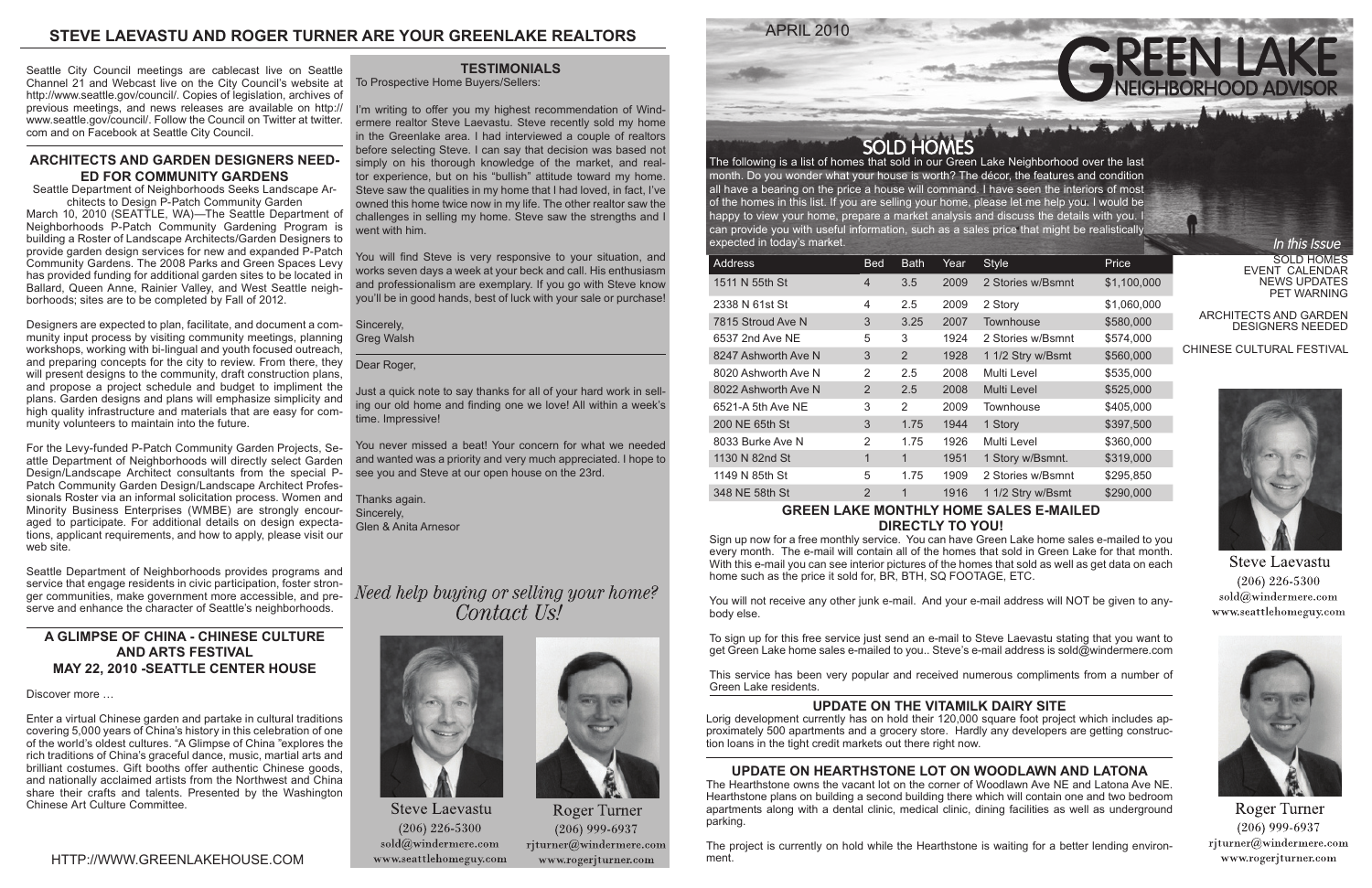APRIL 2010

SOLD HOMES EVENT CALENDAR NEWS UPDATES PET WARNING

ARCHITECTS AND GARDEN DESIGNERS NEEDED

## CHINESE CULTURAL FESTIVAL



**Steve Laevastu**  $(206)$  226-5300 sold@windermere.com www.seattlehomeguy.com



**Roger Turner**  $(206)$  999-6937  $r$ jturner@windermere.com www.rogerjturner.com

SOLD HOMES<br>The following is a list of homes that sold in our Green Lake Neighborhood over the last month. Do you wonder what your house is worth? The décor, the features and condition all have a bearing on the price a house will command. I have seen the interiors of most of the homes in this list. If you are selling your home, please let me help you. I would be happy to view your home, prepare a market analysis and discuss the details with you. I can provide you with useful information, such as a sales price that might be realistically expected in today's market.

| <b>Address</b>      | <b>Bed</b>     | <b>Bath</b>   | Year | <b>Style</b>      | Price       |
|---------------------|----------------|---------------|------|-------------------|-------------|
| 1511 N 55th St      | 4              | 3.5           | 2009 | 2 Stories w/Bsmnt | \$1,100,000 |
| 2338 N 61st St      | 4              | 2.5           | 2009 | 2 Story           | \$1,060,000 |
| 7815 Stroud Ave N   | 3              | 3.25          | 2007 | Townhouse         | \$580,000   |
| 6537 2nd Ave NE     | 5              | 3             | 1924 | 2 Stories w/Bsmnt | \$574,000   |
| 8247 Ashworth Ave N | 3              | 2             | 1928 | 1 1/2 Stry w/Bsmt | \$560,000   |
| 8020 Ashworth Ave N | 2              | 2.5           | 2008 | Multi Level       | \$535,000   |
| 8022 Ashworth Ave N | 2              | 2.5           | 2008 | Multi Level       | \$525,000   |
| 6521-A 5th Ave NE   | 3              | $\mathcal{P}$ | 2009 | Townhouse         | \$405,000   |
| 200 NE 65th St      | 3              | 1.75          | 1944 | 1 Story           | \$397,500   |
| 8033 Burke Ave N    | $\overline{2}$ | 1.75          | 1926 | Multi Level       | \$360,000   |
| 1130 N 82nd St      | 1              | 1             | 1951 | 1 Story w/Bsmnt.  | \$319,000   |
| 1149 N 85th St      | 5              | 1.75          | 1909 | 2 Stories w/Bsmnt | \$295,850   |
| 348 NE 58th St      | $\overline{2}$ | 1             | 1916 | 1 1/2 Stry w/Bsmt | \$290,000   |

### **GREEN LAKE MONTHLY HOME SALES E-MAILED DIRECTLY TO YOU!**

Sign up now for a free monthly service. You can have Green Lake home sales e-mailed to you every month. The e-mail will contain all of the homes that sold in Green Lake for that month. With this e-mail you can see interior pictures of the homes that sold as well as get data on each home such as the price it sold for, BR, BTH, SQ FOOTAGE, ETC.

You will not receive any other junk e-mail. And your e-mail address will NOT be given to anybody else.

To sign up for this free service just send an e-mail to Steve Laevastu stating that you want to get Green Lake home sales e-mailed to you.. Steve's e-mail address is sold@windermere.com

This service has been very popular and received numerous compliments from a number of Green Lake residents.

## **TESTIMONIALS**

To Prospective Home Buyers/Sellers:

I'm writing to offer you my highest recommendation of Windermere realtor Steve Laevastu. Steve recently sold my home in the Greenlake area. I had interviewed a couple of realtors before selecting Steve. I can say that decision was based not simply on his thorough knowledge of the market, and realtor experience, but on his "bullish" attitude toward my home. Steve saw the qualities in my home that I had loved, in fact, I've owned this home twice now in my life. The other realtor saw the challenges in selling my home. Steve saw the strengths and I went with him.

You will find Steve is very responsive to your situation, and works seven days a week at your beck and call. His enthusiasm and professionalism are exemplary. If you go with Steve know you'll be in good hands, best of luck with your sale or purchase!

Sincerely, Greg Walsh

Dear Roger,

Just a quick note to say thanks for all of your hard work in selling our old home and finding one we love! All within a week's time. Impressive!

You never missed a beat! Your concern for what we needed and wanted was a priority and very much appreciated. I hope to see you and Steve at our open house on the 23rd.

Thanks again. Sincerely, Glen & Anita Arnesor

Need help buying or selling your home? Contact Us!



**Steve Laevastu**  $(206)$  226-5300  $\text{solid}(\widehat{a})$ windermere.com www.seattlehomeguy.com



Roger Turner  $(206)$  999-6937 rjturner@windermere.com www.rogerjturner.com



## **STEVE LAEVASTU AND ROGER TURNER ARE YOUR GREENLAKE REALTORS**

## **UPDATE ON THE VITAMILK DAIRY SITE**

Lorig development currently has on hold their 120,000 square foot project which includes approximately 500 apartments and a grocery store. Hardly any developers are getting construction loans in the tight credit markets out there right now.

## **UPDATE ON HEARTHSTONE LOT ON WOODLAWN AND LATONA**

The Hearthstone owns the vacant lot on the corner of Woodlawn Ave NE and Latona Ave NE. Hearthstone plans on building a second building there which will contain one and two bedroom apartments along with a dental clinic, medical clinic, dining facilities as well as underground parking.

The project is currently on hold while the Hearthstone is waiting for a better lending environment.



In this Issue

Seattle City Council meetings are cablecast live on Seattle Channel 21 and Webcast live on the City Council's website at http://www.seattle.gov/council/. Copies of legislation, archives of previous meetings, and news releases are available on http:// www.seattle.gov/council/. Follow the Council on Twitter at twitter. com and on Facebook at Seattle City Council.

## **ARCHITECTS AND GARDEN DESIGNERS NEED-ED FOR COMMUNITY GARDENS**

Seattle Department of Neighborhoods Seeks Landscape Architects to Design P-Patch Community Garden

March 10, 2010 (SEATTLE, WA)—The Seattle Department of Neighborhoods P-Patch Community Gardening Program is building a Roster of Landscape Architects/Garden Designers to provide garden design services for new and expanded P-Patch Community Gardens. The 2008 Parks and Green Spaces Levy has provided funding for additional garden sites to be located in Ballard, Queen Anne, Rainier Valley, and West Seattle neighborhoods; sites are to be completed by Fall of 2012.

Designers are expected to plan, facilitate, and document a community input process by visiting community meetings, planning workshops, working with bi-lingual and youth focused outreach, and preparing concepts for the city to review. From there, they will present designs to the community, draft construction plans, and propose a project schedule and budget to impliment the plans. Garden designs and plans will emphasize simplicity and high quality infrastructure and materials that are easy for community volunteers to maintain into the future.

For the Levy-funded P-Patch Community Garden Projects, Seattle Department of Neighborhoods will directly select Garden Design/Landscape Architect consultants from the special P-Patch Community Garden Design/Landscape Architect Professionals Roster via an informal solicitation process. Women and Minority Business Enterprises (WMBE) are strongly encouraged to participate. For additional details on design expectations, applicant requirements, and how to apply, please visit our web site.

Seattle Department of Neighborhoods provides programs and service that engage residents in civic participation, foster stronger communities, make government more accessible, and preserve and enhance the character of Seattle's neighborhoods.

## **A GLIMPSE OF CHINA - CHINESE CULTURE AND ARTS FESTIVAL MAY 22, 2010 -SEATTLE CENTER HOUSE**

Discover more …

Enter a virtual Chinese garden and partake in cultural traditions covering 5,000 years of China's history in this celebration of one of the world's oldest cultures. "A Glimpse of China "explores the rich traditions of China's graceful dance, music, martial arts and brilliant costumes. Gift booths offer authentic Chinese goods, and nationally acclaimed artists from the Northwest and China share their crafts and talents. Presented by the Washington Chinese Art Culture Committee.